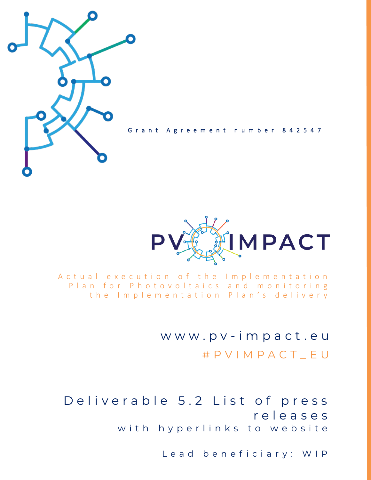

Grant Agreement number 842547



A c t u a l e x e c u t i o n o f the Implementation Plan for Photovoltaics and monitoring the Implementation Plan's delivery

> w w w . p v - i m p a c t . e u # P V I M P A C T \_ E U

Deliverable 5.2 List of press r e l e a s e s with hyperlinks to website

Lead beneficiary: WIP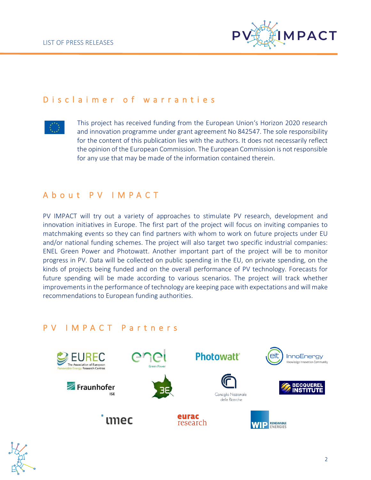

### D is claimer of warranties



This project has received funding from the European Union's Horizon 2020 research and innovation programme under grant agreement No 842547. The sole responsibility for the content of this publication lies with the authors. It does not necessarily reflect the opinion of the European Commission. The European Commission is not responsible for any use that may be made of the information contained therein.

### A b o u t P V I M P A C T

PV IMPACT will try out a variety of approaches to stimulate PV research, development and innovation initiatives in Europe. The first part of the project will focus on inviting companies to matchmaking events so they can find partners with whom to work on future projects under EU and/or national funding schemes. The project will also target two specific industrial companies: ENEL Green Power and Photowatt. Another important part of the project will be to monitor progress in PV. Data will be collected on public spending in the EU, on private spending, on the kinds of projects being funded and on the overall performance of PV technology. Forecasts for future spending will be made according to various scenarios. The project will track whether improvements in the performance of technology are keeping pace with expectations and will make recommendations to European funding authorities.

### P V I M P A C T P a r t n e r s



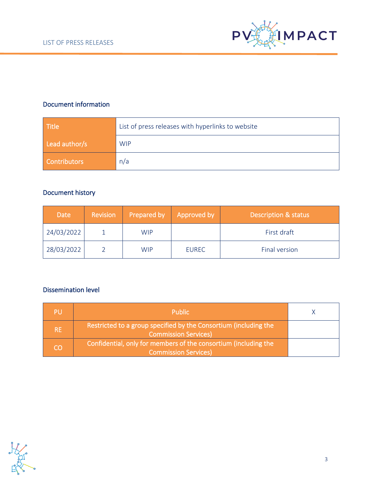

### Document information

| <b>Title</b>        | List of press releases with hyperlinks to website |  |  |
|---------------------|---------------------------------------------------|--|--|
| Lead author/s       | <b>WIP</b>                                        |  |  |
| <b>Contributors</b> | n/a                                               |  |  |

### Document history

| <b>Date</b> | <b>Revision</b> | Prepared by | Approved by  | Description & status |
|-------------|-----------------|-------------|--------------|----------------------|
| 24/03/2022  |                 | <b>WIP</b>  |              | First draft          |
| 28/03/2022  |                 | <b>WIP</b>  | <b>EUREC</b> | Final version        |

#### Dissemination level

| PU        | <b>Public</b>                                                                                   |  |
|-----------|-------------------------------------------------------------------------------------------------|--|
| <b>RE</b> | Restricted to a group specified by the Consortium (including the<br><b>Commission Services)</b> |  |
| CO        | Confidential, only for members of the consortium (including the<br><b>Commission Services)</b>  |  |

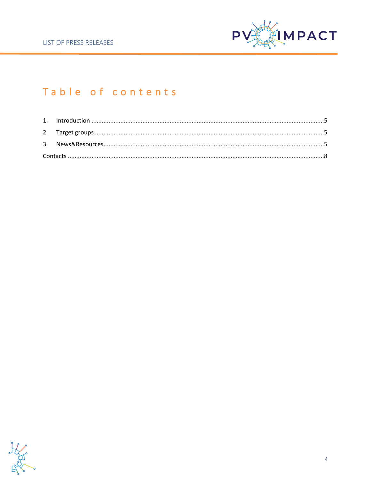

# Table of contents

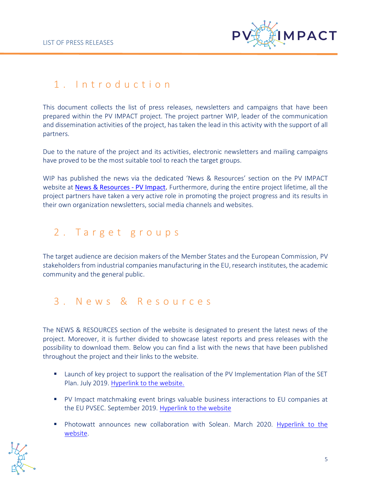

# <span id="page-4-0"></span>1 . I n t r o d u c t i o n

This document collects the list of press releases, newsletters and campaigns that have been prepared within the PV IMPACT project. The project partner WIP, leader of the communication and dissemination activities of the project, has taken the lead in this activity with the support of all partners.

Due to the nature of the project and its activities, electronic newsletters and mailing campaigns have proved to be the most suitable tool to reach the target groups.

WIP has published the news via the dedicated 'News & Resources' section on the PV IMPACT website at [News & Resources -](https://pvimpact.eu/news-resources/) PV Impact. Furthermore, during the entire project lifetime, all the project partners have taken a very active role in promoting the project progress and its results in their own organization newsletters, social media channels and websites.

# <span id="page-4-1"></span>2. Target groups

The target audience are decision makers of the Member States and the European Commission, PV stakeholders from industrial companies manufacturing in the EU, research institutes, the academic community and the general public.

## <span id="page-4-2"></span>3 . N e w s & R e s o u r c e s

The NEWS & RESOURCES section of the website is designated to present the latest news of the project. Moreover, it is further divided to showcase latest reports and press releases with the possibility to download them. Below you can find a list with the news that have been published throughout the project and their links to the website.

- Launch of key project to support the realisation of the PV Implementation Plan of the SET Plan. July 2019. [Hyperlink to the website.](https://pvimpact.eu/news-resources/press-releases/Launch-of-key-project-to-support-the-realisation-of-the-PV-Implementation-Plan-of-the-SET-Plan/)
- PV Impact matchmaking event brings valuable business interactions to EU companies at the EU PVSEC. September 2019. [Hyperlink to the website](https://pvimpact.eu/news-resources/press-releases/PV-Impact-matchmaking-event-brings-valuable-business-interactions-to-EU-companies-at-the-EU-PVSEC/)
- Photowatt announces new collaboration with Solean. March 2020. [Hyperlink to the](https://pvimpact.eu/news-resources/news/Photowatt-announces-new-collaboration-with-Solean/)  [website.](https://pvimpact.eu/news-resources/news/Photowatt-announces-new-collaboration-with-Solean/)

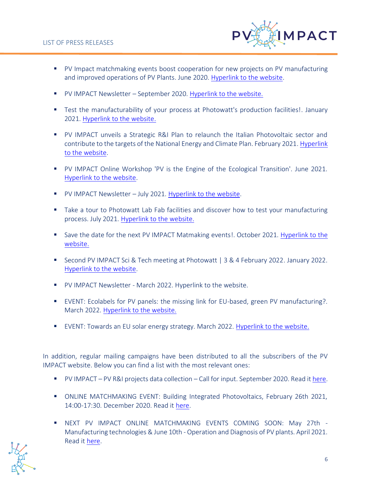

- PV Impact matchmaking events boost cooperation for new projects on PV manufacturing and improved operations of PV Plants. June 2020. [Hyperlink to the website.](https://pvimpact.eu/news-resources/news/Boosting-innovation-and-cooperation-for-improved-operations-and-diagnosis-of-PV-plants/)
- PV IMPACT Newsletter September 2020. [Hyperlink to the website.](https://pvimpact.eu/news-resources/news/PV-IMPACT-Newsletter-September-2020/)
- Test the manufacturability of your process at Photowatt's production facilities!. January 2021. [Hyperlink to the website.](https://pvimpact.eu/news-resources/news/Test-the-manufacturability-of-your-process-at-Photowatts-production-facilities/)
- PV IMPACT unveils a Strategic R&I Plan to relaunch the Italian Photovoltaic sector and contribute to the targets of the National Energy and Climate Plan. February 2021. [Hyperlink](https://pvimpact.eu/news-resources/news/PV-IMPACT-launches-a-Strategic-R-I-Plan-to-relaunch-the-Italian-Photovoltaic-sector-and-contribute-to-the-targets-of-the-National-Energy-and-Climate-Plan/)  [to the website.](https://pvimpact.eu/news-resources/news/PV-IMPACT-launches-a-Strategic-R-I-Plan-to-relaunch-the-Italian-Photovoltaic-sector-and-contribute-to-the-targets-of-the-National-Energy-and-Climate-Plan/)
- PV IMPACT Online Workshop 'PV is the Engine of the Ecological Transition'. June 2021. [Hyperlink to the website.](https://pvimpact.eu/news-resources/news/PV-IMPACT-Workshop-PV-is-the-Engine-of-the-Ecological-Transition/)
- PV IMPACT Newsletter July 2021. [Hyperlink to the website.](https://pvimpact.eu/news-resources/news/PV-IMPACT-Newsletter-July-2021/)
- Take a tour to Photowatt Lab Fab facilities and discover how to test your manufacturing process. July 2021. [Hyperlink to the website.](https://pvimpact.eu/news-resources/news/Take-a-tour-to-Photowatt-Lab-Fab-facilities-and-discover-how-to-test-your-manufacturing-process/)
- Save the date for the next PV IMPACT Matmaking events!. October 2021. Hyperlink to the [website.](https://pvimpact.eu/news-resources/news/SAVE-THE-DATE-FOR-THE-NEXT-PV-IMPACT-MATCHMAKING-EVENTS/)
- Second PV IMPACT Sci & Tech meeting at Photowatt | 3 & 4 February 2022. January 2022. [Hyperlink to the website.](https://pvimpact.eu/news-resources/news/Second-PV-IMPACT-Sci-Tech-meeting-at-Photowatt-3-4-February-2022/)
- PV IMPACT Newsletter March 2022. Hyperlink to the website.
- EVENT: Ecolabels for PV panels: the missing link for EU-based, green PV manufacturing?. March 2022. [Hyperlink to the website.](https://pvimpact.eu/news-resources/news/Ecolabelling-in-the-EU-PV-industry-making-a-reduction-in-the-environmental-impact-of-PV-panels-a-reality/)
- EVENT: Towards an EU solar energy strategy. March 2022. [Hyperlink to the website.](https://pvimpact.eu/news-resources/news/EVENT-Towards-an-EU-solar-energy-strategy/)

In addition, regular mailing campaigns have been distributed to all the subscribers of the PV IMPACT website. Below you can find a list with the most relevant ones:

- PV IMPACT PV R&I projects data collection Call for input. September 2020. Read it [here.](https://mailchi.mp/e9e24a41ff75/pv-impact-pv-ri-projects-data-collection-need-for-input-5049142?e=%5bUNIQID%5d)
- ONLINE MATCHMAKING EVENT: Building Integrated Photovoltaics, February 26th 2021, 14:00-17:30. December 2020. Read it [here.](https://mailchi.mp/6fa83f914f8e/invitation-to-pv-impacts-matchmaking-event-5103414?e=%5bUNIQID%5d)
- NEXT PV IMPACT ONLINE MATCHMAKING EVENTS COMING SOON: May 27th Manufacturing technologies & June 10th - Operation and Diagnosis of PV plants. April 2021. Read it [here.](https://mailchi.mp/832bc76b0f9d/invitation-to-pv-impacts-matchmaking-event-5158734?e=%5bUNIQID%5d)

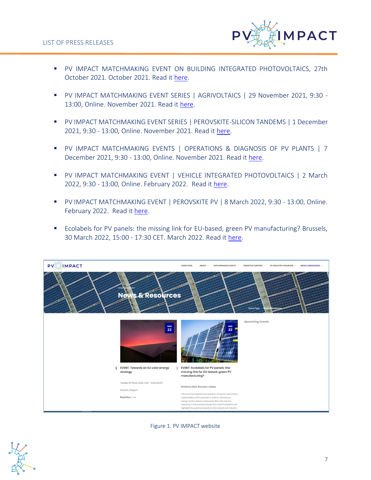

- PV IMPACT MATCHMAKING EVENT ON BUILDING INTEGRATED PHOTOVOLTAICS, 27th October 2021. October 2021. Read it [here.](https://mailchi.mp/68662b35daf5/invitation-to-pv-impacts-matchmaking-event-5226941?e=%5bUNIQID%5d)
- PV IMPACT MATCHMAKING EVENT SERIES | AGRIVOLTAICS | 29 November 2021, 9:30 13:00, Online. November 2021. Read it [here.](https://mailchi.mp/b8881c1b662b/invitation-to-pv-impacts-matchmaking-event-5237337?e=%5bUNIQID%5d)
- PV IMPACT MATCHMAKING EVENT SERIES | PEROVSKITE-SILICON TANDEMS | 1 December 2021, 9:30 - 13:00, Online. November 2021. Read it [here.](https://mailchi.mp/c8d42996ae7f/invitation-to-pv-impacts-matchmaking-event-5239233?e=%5bUNIQID%5d)
- PV IMPACT MATCHMAKING EVENTS | OPERATIONS & DIAGNOSIS OF PV PLANTS | 7 December 2021, 9:30 - 13:00, Online. November 2021. Read it [here.](https://mailchi.mp/44cbb162d102/invitation-to-pv-impacts-matchmaking-event-5242133?e=%5bUNIQID%5d)
- PV IMPACT MATCHMAKING EVENT | VEHICLE INTEGRATED PHOTOVOLTAICS | 2 March 2022, 9:30 - 13:00, Online. February 2022. Read i[t here.](https://mailchi.mp/a9d83069c17f/invitation-to-pv-impacts-matchmaking-event-6027585?e=%5bUNIQID%5d)
- PV IMPACT MATCHMAKING EVENT | PEROVSKITE PV | 8 March 2022, 9:30 13:00, Online. February 2022. Read it [here.](https://mailchi.mp/5ba2230ec372/invitation-to-pv-impacts-matchmaking-event-6031661?e=%5bUNIQID%5d)
- Ecolabels for PV panels: the missing link for EU-based, green PV manufacturing? Brussels, 30 March 2022, 15:00 - 17:30 CET. March 2022. Read it [here.](https://mailchi.mp/588462bb485e/invitation-to-pv-impacts-workshop-6049981?e=%5bUNIQID%5d)